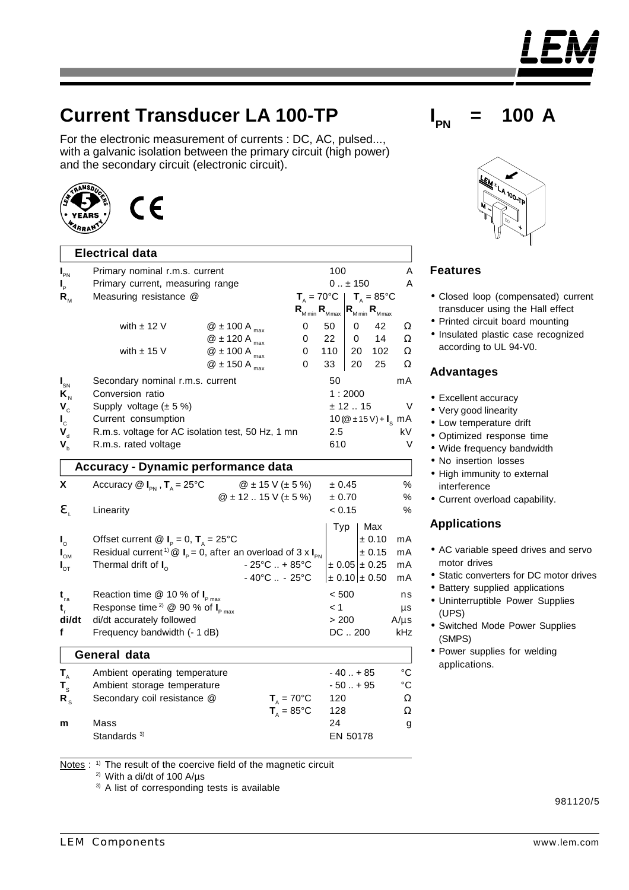# **Current Transducer LA 100-TP**

For the electronic measurement of currents : DC, AC, pulsed..., with a galvanic isolation between the primary circuit (high power) and the secondary circuit (electronic circuit).

## **Electrical data**

| $I_{\text{PN}}$                      | Primary nominal r.m.s. current                                                                               |                             |                                    | 100                        |                             |                                                      |              |  |
|--------------------------------------|--------------------------------------------------------------------------------------------------------------|-----------------------------|------------------------------------|----------------------------|-----------------------------|------------------------------------------------------|--------------|--|
| $\mathbf{l}_{\mathrm{p}}$            | Primary current, measuring range                                                                             |                             |                                    | $0 \pm 150$                |                             |                                                      | A            |  |
| $R_{\scriptscriptstyle M}$           | Measuring resistance @                                                                                       |                             |                                    |                            | $T_{A} = 70^{\circ}C$       | $T_{\text{A}} = 85^{\circ}$ C                        |              |  |
|                                      |                                                                                                              |                             |                                    | $R_{_{M\min}}R_{_{M\max}}$ |                             | $R_{_{M\min}}R_{_{M\max}}$                           |              |  |
|                                      | with $\pm$ 12 V                                                                                              | $@$ ± 100 A $_{max}$        |                                    | 0                          | 50                          | 0                                                    | 42<br>Ω      |  |
|                                      |                                                                                                              | $@$ ± 120 A $_{max}$        |                                    | 0                          | 22                          | 0                                                    | 14<br>Ω      |  |
|                                      | with $\pm$ 15 V                                                                                              | $@$ ± 100 A $_{\text{max}}$ |                                    | 0                          | 110                         | 20                                                   | 102<br>Ω     |  |
|                                      |                                                                                                              | $@$ ± 150 A $_{max}$        |                                    | 0                          | 33                          | 20                                                   | 25<br>Ω      |  |
| $I_{\text{SN}}$                      | Secondary nominal r.m.s. current                                                                             |                             |                                    |                            | 50                          |                                                      | mA           |  |
| $\mathbf{K}_{\scriptscriptstyle{N}}$ | Conversion ratio                                                                                             |                             |                                    | 1:2000                     |                             |                                                      |              |  |
| $V_c$                                | Supply voltage $(\pm 5\%)$                                                                                   |                             |                                    | $\vee$<br>± 12.15          |                             |                                                      |              |  |
| $\mathbf{I}_{\rm c}$                 | Current consumption                                                                                          |                             |                                    |                            |                             | 10 ( $@ \pm 15 \text{ V}$ ) + $\text{I}_\text{s}$ mA |              |  |
| $\mathbf{V}_{\mathrm{d}}$            | R.m.s. voltage for AC isolation test, 50 Hz, 1 mn                                                            |                             |                                    |                            | 2.5<br>kV                   |                                                      |              |  |
| $\mathbf{V}_{\rm b}$                 | R.m.s. rated voltage                                                                                         |                             |                                    |                            | 610<br>V                    |                                                      |              |  |
| Accuracy - Dynamic performance data  |                                                                                                              |                             |                                    |                            |                             |                                                      |              |  |
| X                                    | Accuracy $\mathbb{Q}$ $I_{\text{PN}}$ , $T_{\text{A}} = 25^{\circ} \text{C}$<br>$@$ ± 15 V (± 5 %)<br>± 0.45 |                             |                                    |                            |                             |                                                      | $\%$         |  |
|                                      |                                                                                                              |                             | $@$ ± 12  15 V (± 5 %)             |                            | ± 0.70                      |                                                      | ℅            |  |
| e,                                   | Linearity                                                                                                    |                             |                                    |                            | < 0.15                      |                                                      | ℅            |  |
|                                      |                                                                                                              |                             |                                    |                            | Typ                         | Max                                                  |              |  |
| $\mathbf{I}_{\circ}$                 | Offset current @ $I_p = 0$ , $T_A = 25^{\circ}C$                                                             |                             |                                    |                            |                             | ± 0.10                                               | mA           |  |
| $I_{\text{OM}}$                      | Residual current <sup>1)</sup> @ $I_p = 0$ , after an overload of 3 x $I_{pN}$                               |                             |                                    |                            |                             | ± 0.15                                               | mA           |  |
| $I_{\sigma T}$                       | Thermal drift of $I_0$                                                                                       |                             | $-25^{\circ}$ C  + 85 $^{\circ}$ C |                            |                             | $\pm 0.05 \pm 0.25$                                  | mA           |  |
|                                      |                                                                                                              |                             | $-40^{\circ}$ C $-25^{\circ}$ C    |                            |                             | $\pm$ 0.10 $\pm$ 0.50                                | mA           |  |
| $\mathbf{t}_{\rm ra}$                | Reaction time $@$ 10 % of $I_{pmax}$                                                                         |                             |                                    |                            | < 500                       |                                                      | ns           |  |
| t,                                   | Response time <sup>2)</sup> @ 90 % of $I_{Pmax}$                                                             |                             |                                    | < 1                        |                             | $\mu s$                                              |              |  |
| di/dt                                | di/dt accurately followed                                                                                    |                             |                                    |                            | > 200                       |                                                      | $A/\mu s$    |  |
| f                                    | Frequency bandwidth (- 1 dB)                                                                                 |                             |                                    |                            |                             | DC200                                                | kHz          |  |
|                                      | General data                                                                                                 |                             |                                    |                            |                             |                                                      |              |  |
| $T_{A}$                              | Ambient operating temperature                                                                                |                             |                                    |                            |                             | $-40+85$                                             | $^{\circ}$ C |  |
| $T_{\rm s}$                          | Ambient storage temperature                                                                                  |                             |                                    |                            | $^{\circ}$ C<br>$-50. + 95$ |                                                      |              |  |
| $R_{\rm s}$                          | Secondary coil resistance @                                                                                  |                             |                                    | $T_a = 70^{\circ}C$        | 120                         |                                                      | Ω            |  |
|                                      |                                                                                                              |                             | $T_{A} = 85^{\circ}C$              |                            | 128                         |                                                      | Ω            |  |
| m                                    | Mass                                                                                                         |                             |                                    |                            | 24                          |                                                      | g            |  |
|                                      | Standards <sup>3)</sup><br>EN 50178                                                                          |                             |                                    |                            |                             |                                                      |              |  |
|                                      |                                                                                                              |                             |                                    |                            |                             |                                                      |              |  |

Notes : <sup>1)</sup> The result of the coercive field of the magnetic circuit

2) With a di/dt of 100 A/µs

<sup>3)</sup> A list of corresponding tests is available

according to UL 94-V0.

•Closed loop (compensated) current transducer using the Hall effect • Printed circuit board mounting •Insulated plastic case recognized

#### **Advantages**

**Features**

- •Excellent accuracy
- •Very good linearity
- •Low temperature drift
- •Optimized response time
- •Wide frequency bandwidth
- •No insertion losses
- High immunity to external interference
- •Current overload capability.

#### **Applications**

- •AC variable speed drives and servo motor drives
- Static converters for DC motor drives
- Battery supplied applications
- •Uninterruptible Power Supplies (UPS)
- •Switched Mode Power Supplies (SMPS)
- •Power supplies for welding applications.

981120/5